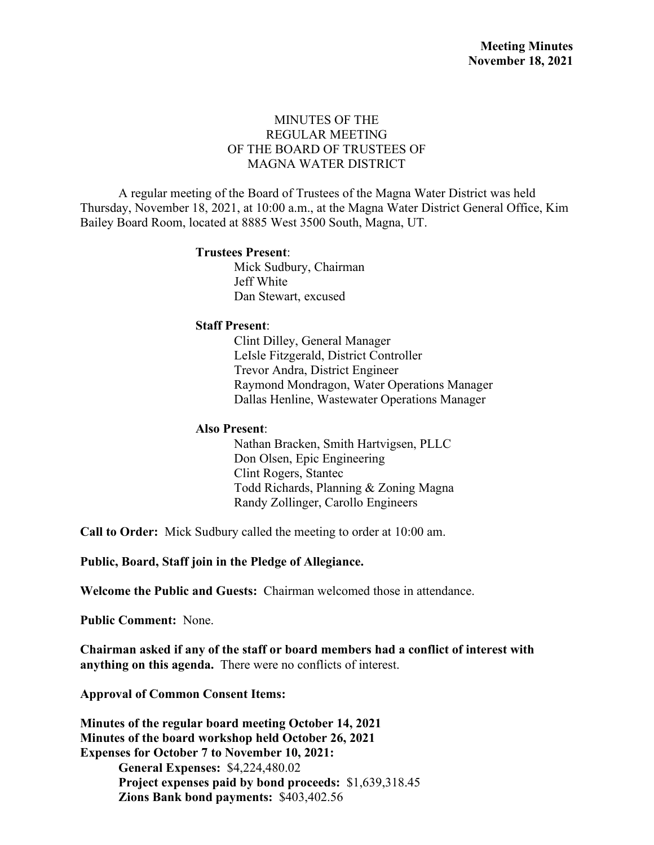### MINUTES OF THE REGULAR MEETING OF THE BOARD OF TRUSTEES OF MAGNA WATER DISTRICT

A regular meeting of the Board of Trustees of the Magna Water District was held Thursday, November 18, 2021, at 10:00 a.m., at the Magna Water District General Office, Kim Bailey Board Room, located at 8885 West 3500 South, Magna, UT.

#### **Trustees Present**:

Mick Sudbury, Chairman Jeff White Dan Stewart, excused

#### **Staff Present**:

Clint Dilley, General Manager LeIsle Fitzgerald, District Controller Trevor Andra, District Engineer Raymond Mondragon, Water Operations Manager Dallas Henline, Wastewater Operations Manager

#### **Also Present**:

Nathan Bracken, Smith Hartvigsen, PLLC Don Olsen, Epic Engineering Clint Rogers, Stantec Todd Richards, Planning & Zoning Magna Randy Zollinger, Carollo Engineers

**Call to Order:** Mick Sudbury called the meeting to order at 10:00 am.

**Public, Board, Staff join in the Pledge of Allegiance.** 

**Welcome the Public and Guests:** Chairman welcomed those in attendance.

**Public Comment:** None.

**Chairman asked if any of the staff or board members had a conflict of interest with anything on this agenda.** There were no conflicts of interest.

**Approval of Common Consent Items:** 

**Minutes of the regular board meeting October 14, 2021 Minutes of the board workshop held October 26, 2021 Expenses for October 7 to November 10, 2021: General Expenses:** \$4,224,480.02 **Project expenses paid by bond proceeds:** \$1,639,318.45 **Zions Bank bond payments:** \$403,402.56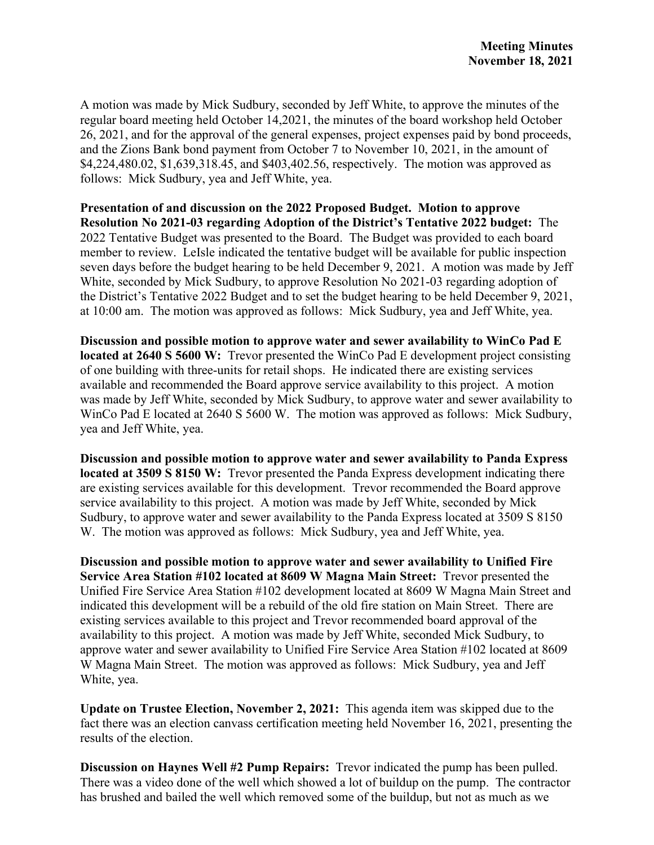A motion was made by Mick Sudbury, seconded by Jeff White, to approve the minutes of the regular board meeting held October 14,2021, the minutes of the board workshop held October 26, 2021, and for the approval of the general expenses, project expenses paid by bond proceeds, and the Zions Bank bond payment from October 7 to November 10, 2021, in the amount of \$4,224,480.02, \$1,639,318.45, and \$403,402.56, respectively. The motion was approved as follows: Mick Sudbury, yea and Jeff White, yea.

**Presentation of and discussion on the 2022 Proposed Budget. Motion to approve Resolution No 2021-03 regarding Adoption of the District's Tentative 2022 budget:** The 2022 Tentative Budget was presented to the Board. The Budget was provided to each board member to review. LeIsle indicated the tentative budget will be available for public inspection seven days before the budget hearing to be held December 9, 2021. A motion was made by Jeff White, seconded by Mick Sudbury, to approve Resolution No 2021-03 regarding adoption of the District's Tentative 2022 Budget and to set the budget hearing to be held December 9, 2021, at 10:00 am. The motion was approved as follows: Mick Sudbury, yea and Jeff White, yea.

**Discussion and possible motion to approve water and sewer availability to WinCo Pad E located at 2640 S 5600 W:** Trevor presented the WinCo Pad E development project consisting of one building with three-units for retail shops. He indicated there are existing services available and recommended the Board approve service availability to this project. A motion was made by Jeff White, seconded by Mick Sudbury, to approve water and sewer availability to WinCo Pad E located at 2640 S 5600 W. The motion was approved as follows: Mick Sudbury, yea and Jeff White, yea.

**Discussion and possible motion to approve water and sewer availability to Panda Express located at 3509 S 8150 W:** Trevor presented the Panda Express development indicating there are existing services available for this development. Trevor recommended the Board approve service availability to this project. A motion was made by Jeff White, seconded by Mick Sudbury, to approve water and sewer availability to the Panda Express located at 3509 S 8150 W. The motion was approved as follows: Mick Sudbury, yea and Jeff White, yea.

**Discussion and possible motion to approve water and sewer availability to Unified Fire Service Area Station #102 located at 8609 W Magna Main Street:** Trevor presented the Unified Fire Service Area Station #102 development located at 8609 W Magna Main Street and indicated this development will be a rebuild of the old fire station on Main Street. There are existing services available to this project and Trevor recommended board approval of the availability to this project. A motion was made by Jeff White, seconded Mick Sudbury, to approve water and sewer availability to Unified Fire Service Area Station #102 located at 8609 W Magna Main Street. The motion was approved as follows: Mick Sudbury, yea and Jeff White, yea.

**Update on Trustee Election, November 2, 2021:** This agenda item was skipped due to the fact there was an election canvass certification meeting held November 16, 2021, presenting the results of the election.

**Discussion on Haynes Well #2 Pump Repairs:** Trevor indicated the pump has been pulled. There was a video done of the well which showed a lot of buildup on the pump. The contractor has brushed and bailed the well which removed some of the buildup, but not as much as we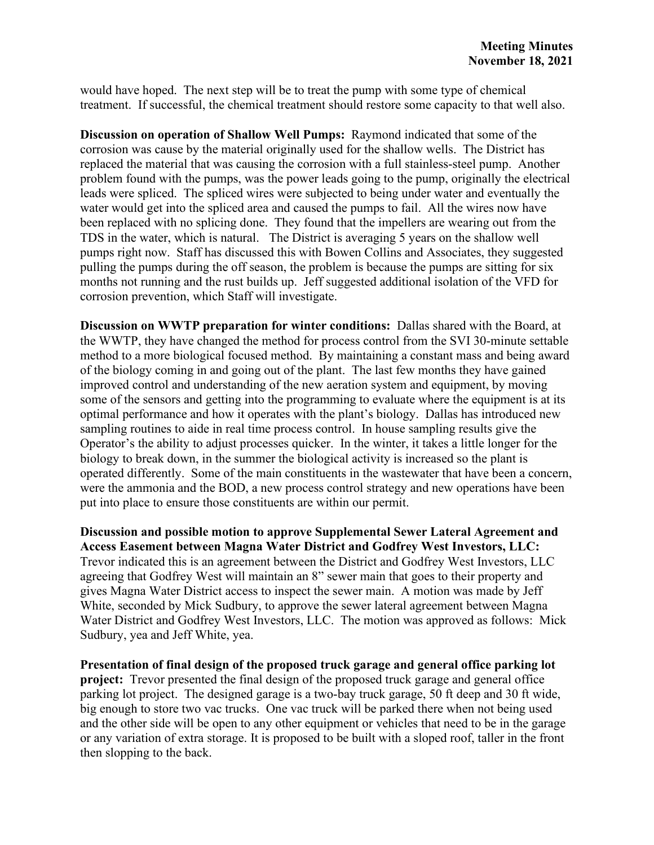would have hoped. The next step will be to treat the pump with some type of chemical treatment. If successful, the chemical treatment should restore some capacity to that well also.

**Discussion on operation of Shallow Well Pumps:** Raymond indicated that some of the corrosion was cause by the material originally used for the shallow wells. The District has replaced the material that was causing the corrosion with a full stainless-steel pump. Another problem found with the pumps, was the power leads going to the pump, originally the electrical leads were spliced. The spliced wires were subjected to being under water and eventually the water would get into the spliced area and caused the pumps to fail. All the wires now have been replaced with no splicing done. They found that the impellers are wearing out from the TDS in the water, which is natural. The District is averaging 5 years on the shallow well pumps right now. Staff has discussed this with Bowen Collins and Associates, they suggested pulling the pumps during the off season, the problem is because the pumps are sitting for six months not running and the rust builds up. Jeff suggested additional isolation of the VFD for corrosion prevention, which Staff will investigate.

**Discussion on WWTP preparation for winter conditions:** Dallas shared with the Board, at the WWTP, they have changed the method for process control from the SVI 30-minute settable method to a more biological focused method. By maintaining a constant mass and being award of the biology coming in and going out of the plant. The last few months they have gained improved control and understanding of the new aeration system and equipment, by moving some of the sensors and getting into the programming to evaluate where the equipment is at its optimal performance and how it operates with the plant's biology. Dallas has introduced new sampling routines to aide in real time process control. In house sampling results give the Operator's the ability to adjust processes quicker. In the winter, it takes a little longer for the biology to break down, in the summer the biological activity is increased so the plant is operated differently. Some of the main constituents in the wastewater that have been a concern, were the ammonia and the BOD, a new process control strategy and new operations have been put into place to ensure those constituents are within our permit.

**Discussion and possible motion to approve Supplemental Sewer Lateral Agreement and Access Easement between Magna Water District and Godfrey West Investors, LLC:**  Trevor indicated this is an agreement between the District and Godfrey West Investors, LLC agreeing that Godfrey West will maintain an 8" sewer main that goes to their property and gives Magna Water District access to inspect the sewer main. A motion was made by Jeff White, seconded by Mick Sudbury, to approve the sewer lateral agreement between Magna Water District and Godfrey West Investors, LLC. The motion was approved as follows: Mick Sudbury, yea and Jeff White, yea.

**Presentation of final design of the proposed truck garage and general office parking lot project:** Trevor presented the final design of the proposed truck garage and general office parking lot project. The designed garage is a two-bay truck garage, 50 ft deep and 30 ft wide, big enough to store two vac trucks. One vac truck will be parked there when not being used and the other side will be open to any other equipment or vehicles that need to be in the garage or any variation of extra storage. It is proposed to be built with a sloped roof, taller in the front then slopping to the back.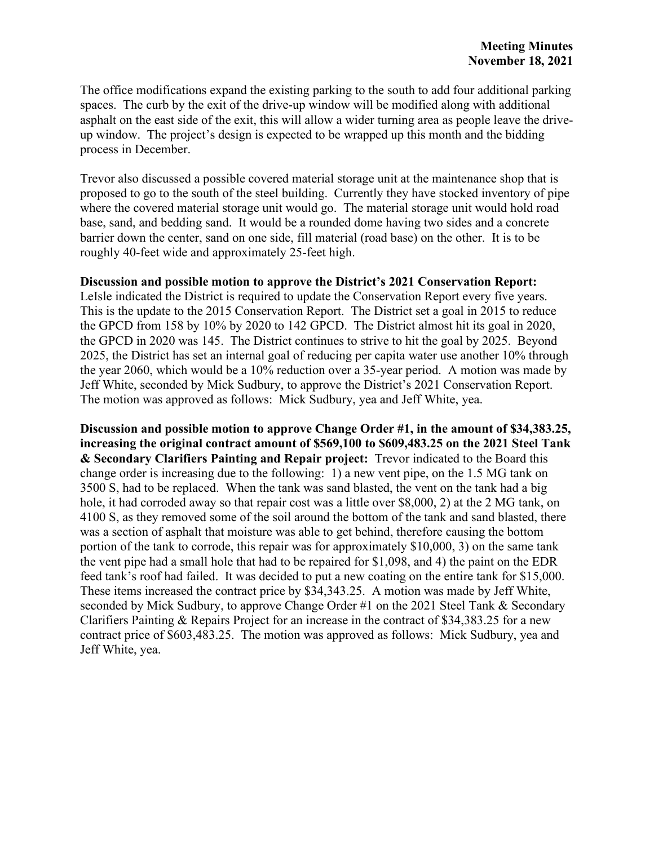The office modifications expand the existing parking to the south to add four additional parking spaces. The curb by the exit of the drive-up window will be modified along with additional asphalt on the east side of the exit, this will allow a wider turning area as people leave the driveup window. The project's design is expected to be wrapped up this month and the bidding process in December.

Trevor also discussed a possible covered material storage unit at the maintenance shop that is proposed to go to the south of the steel building. Currently they have stocked inventory of pipe where the covered material storage unit would go. The material storage unit would hold road base, sand, and bedding sand. It would be a rounded dome having two sides and a concrete barrier down the center, sand on one side, fill material (road base) on the other. It is to be roughly 40-feet wide and approximately 25-feet high.

### **Discussion and possible motion to approve the District's 2021 Conservation Report:**

LeIsle indicated the District is required to update the Conservation Report every five years. This is the update to the 2015 Conservation Report. The District set a goal in 2015 to reduce the GPCD from 158 by 10% by 2020 to 142 GPCD. The District almost hit its goal in 2020, the GPCD in 2020 was 145. The District continues to strive to hit the goal by 2025. Beyond 2025, the District has set an internal goal of reducing per capita water use another 10% through the year 2060, which would be a 10% reduction over a 35-year period. A motion was made by Jeff White, seconded by Mick Sudbury, to approve the District's 2021 Conservation Report. The motion was approved as follows: Mick Sudbury, yea and Jeff White, yea.

**Discussion and possible motion to approve Change Order #1, in the amount of \$34,383.25, increasing the original contract amount of \$569,100 to \$609,483.25 on the 2021 Steel Tank & Secondary Clarifiers Painting and Repair project:** Trevor indicated to the Board this change order is increasing due to the following: 1) a new vent pipe, on the 1.5 MG tank on 3500 S, had to be replaced. When the tank was sand blasted, the vent on the tank had a big hole, it had corroded away so that repair cost was a little over \$8,000, 2) at the 2 MG tank, on 4100 S, as they removed some of the soil around the bottom of the tank and sand blasted, there was a section of asphalt that moisture was able to get behind, therefore causing the bottom portion of the tank to corrode, this repair was for approximately \$10,000, 3) on the same tank the vent pipe had a small hole that had to be repaired for \$1,098, and 4) the paint on the EDR feed tank's roof had failed. It was decided to put a new coating on the entire tank for \$15,000. These items increased the contract price by \$34,343.25. A motion was made by Jeff White, seconded by Mick Sudbury, to approve Change Order #1 on the 2021 Steel Tank & Secondary Clarifiers Painting & Repairs Project for an increase in the contract of \$34,383.25 for a new contract price of \$603,483.25. The motion was approved as follows: Mick Sudbury, yea and Jeff White, yea.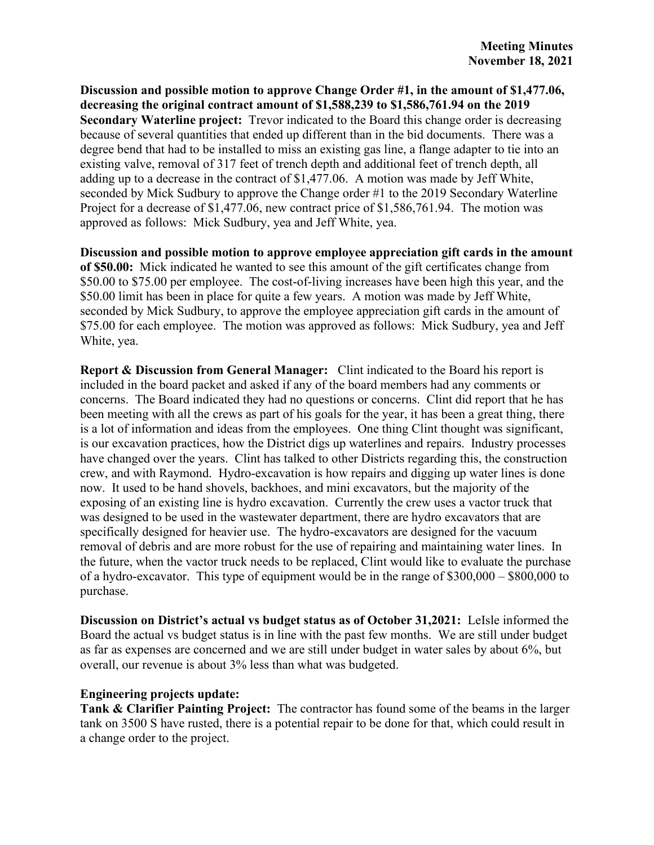**Discussion and possible motion to approve Change Order #1, in the amount of \$1,477.06, decreasing the original contract amount of \$1,588,239 to \$1,586,761.94 on the 2019 Secondary Waterline project:** Trevor indicated to the Board this change order is decreasing because of several quantities that ended up different than in the bid documents. There was a degree bend that had to be installed to miss an existing gas line, a flange adapter to tie into an existing valve, removal of 317 feet of trench depth and additional feet of trench depth, all adding up to a decrease in the contract of \$1,477.06. A motion was made by Jeff White, seconded by Mick Sudbury to approve the Change order #1 to the 2019 Secondary Waterline Project for a decrease of \$1,477.06, new contract price of \$1,586,761.94. The motion was approved as follows: Mick Sudbury, yea and Jeff White, yea.

**Discussion and possible motion to approve employee appreciation gift cards in the amount of \$50.00:** Mick indicated he wanted to see this amount of the gift certificates change from \$50.00 to \$75.00 per employee. The cost-of-living increases have been high this year, and the \$50.00 limit has been in place for quite a few years. A motion was made by Jeff White, seconded by Mick Sudbury, to approve the employee appreciation gift cards in the amount of \$75.00 for each employee. The motion was approved as follows: Mick Sudbury, yea and Jeff White, yea.

**Report & Discussion from General Manager:** Clint indicated to the Board his report is included in the board packet and asked if any of the board members had any comments or concerns. The Board indicated they had no questions or concerns. Clint did report that he has been meeting with all the crews as part of his goals for the year, it has been a great thing, there is a lot of information and ideas from the employees. One thing Clint thought was significant, is our excavation practices, how the District digs up waterlines and repairs. Industry processes have changed over the years. Clint has talked to other Districts regarding this, the construction crew, and with Raymond. Hydro-excavation is how repairs and digging up water lines is done now. It used to be hand shovels, backhoes, and mini excavators, but the majority of the exposing of an existing line is hydro excavation. Currently the crew uses a vactor truck that was designed to be used in the wastewater department, there are hydro excavators that are specifically designed for heavier use. The hydro-excavators are designed for the vacuum removal of debris and are more robust for the use of repairing and maintaining water lines. In the future, when the vactor truck needs to be replaced, Clint would like to evaluate the purchase of a hydro-excavator. This type of equipment would be in the range of \$300,000 – \$800,000 to purchase.

**Discussion on District's actual vs budget status as of October 31,2021:** LeIsle informed the Board the actual vs budget status is in line with the past few months. We are still under budget as far as expenses are concerned and we are still under budget in water sales by about 6%, but overall, our revenue is about 3% less than what was budgeted.

#### **Engineering projects update:**

**Tank & Clarifier Painting Project:** The contractor has found some of the beams in the larger tank on 3500 S have rusted, there is a potential repair to be done for that, which could result in a change order to the project.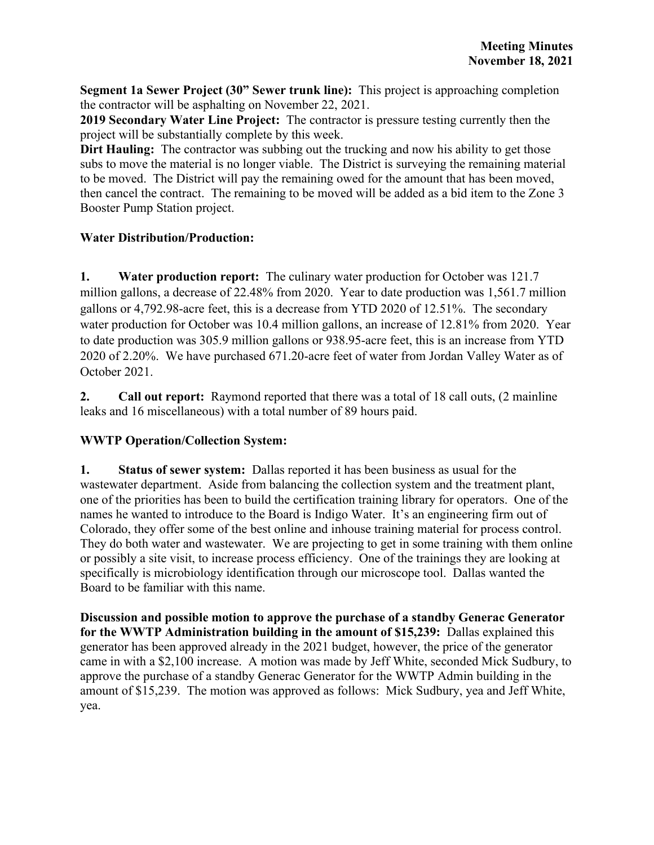**Segment 1a Sewer Project (30" Sewer trunk line):** This project is approaching completion the contractor will be asphalting on November 22, 2021.

**2019 Secondary Water Line Project:** The contractor is pressure testing currently then the project will be substantially complete by this week.

**Dirt Hauling:** The contractor was subbing out the trucking and now his ability to get those subs to move the material is no longer viable. The District is surveying the remaining material to be moved. The District will pay the remaining owed for the amount that has been moved, then cancel the contract. The remaining to be moved will be added as a bid item to the Zone 3 Booster Pump Station project.

### **Water Distribution/Production:**

**1. Water production report:** The culinary water production for October was 121.7 million gallons, a decrease of 22.48% from 2020. Year to date production was 1,561.7 million gallons or 4,792.98-acre feet, this is a decrease from YTD 2020 of 12.51%. The secondary water production for October was 10.4 million gallons, an increase of 12.81% from 2020. Year to date production was 305.9 million gallons or 938.95-acre feet, this is an increase from YTD 2020 of 2.20%. We have purchased 671.20-acre feet of water from Jordan Valley Water as of October 2021.

**2. Call out report:** Raymond reported that there was a total of 18 call outs, (2 mainline leaks and 16 miscellaneous) with a total number of 89 hours paid.

## **WWTP Operation/Collection System:**

**1. Status of sewer system:** Dallas reported it has been business as usual for the wastewater department. Aside from balancing the collection system and the treatment plant, one of the priorities has been to build the certification training library for operators. One of the names he wanted to introduce to the Board is Indigo Water. It's an engineering firm out of Colorado, they offer some of the best online and inhouse training material for process control. They do both water and wastewater. We are projecting to get in some training with them online or possibly a site visit, to increase process efficiency. One of the trainings they are looking at specifically is microbiology identification through our microscope tool. Dallas wanted the Board to be familiar with this name.

**Discussion and possible motion to approve the purchase of a standby Generac Generator for the WWTP Administration building in the amount of \$15,239:** Dallas explained this generator has been approved already in the 2021 budget, however, the price of the generator came in with a \$2,100 increase. A motion was made by Jeff White, seconded Mick Sudbury, to approve the purchase of a standby Generac Generator for the WWTP Admin building in the amount of \$15,239. The motion was approved as follows: Mick Sudbury, yea and Jeff White, yea.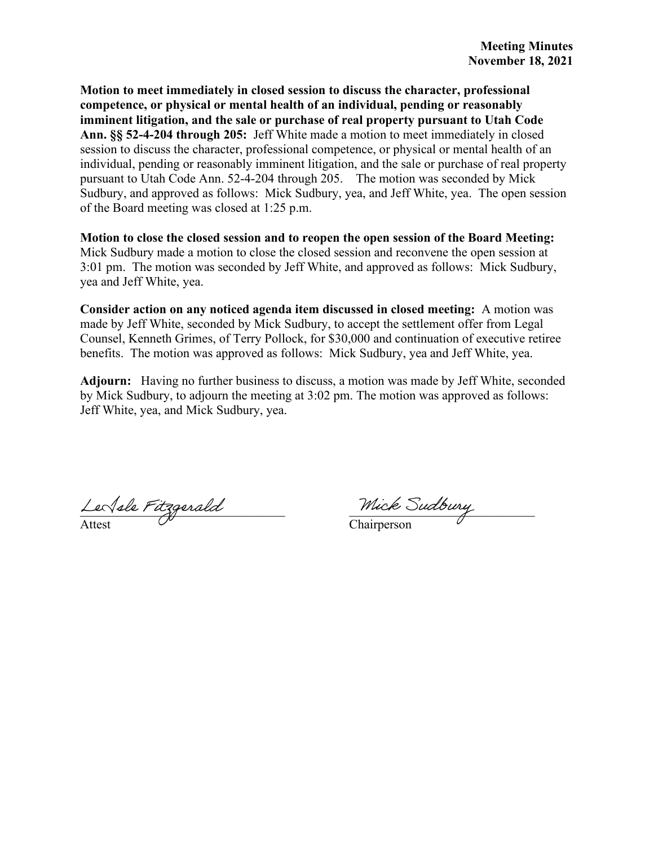**Motion to meet immediately in closed session to discuss the character, professional competence, or physical or mental health of an individual, pending or reasonably imminent litigation, and the sale or purchase of real property pursuant to Utah Code Ann. §§ 52-4-204 through 205:** Jeff White made a motion to meet immediately in closed session to discuss the character, professional competence, or physical or mental health of an individual, pending or reasonably imminent litigation, and the sale or purchase of real property pursuant to Utah Code Ann. 52-4-204 through 205. The motion was seconded by Mick Sudbury, and approved as follows: Mick Sudbury, yea, and Jeff White, yea. The open session of the Board meeting was closed at 1:25 p.m.

**Motion to close the closed session and to reopen the open session of the Board Meeting:**  Mick Sudbury made a motion to close the closed session and reconvene the open session at 3:01 pm. The motion was seconded by Jeff White, and approved as follows: Mick Sudbury, yea and Jeff White, yea.

**Consider action on any noticed agenda item discussed in closed meeting:** A motion was made by Jeff White, seconded by Mick Sudbury, to accept the settlement offer from Legal Counsel, Kenneth Grimes, of Terry Pollock, for \$30,000 and continuation of executive retiree benefits. The motion was approved as follows: Mick Sudbury, yea and Jeff White, yea.

**Adjourn:** Having no further business to discuss, a motion was made by Jeff White, seconded by Mick Sudbury, to adjourn the meeting at 3:02 pm. The motion was approved as follows: Jeff White, yea, and Mick Sudbury, yea.

 $\textit{Lev}\$ le Pitzgerald $\textit{L}$ Attest  $\vee$  Chairperson